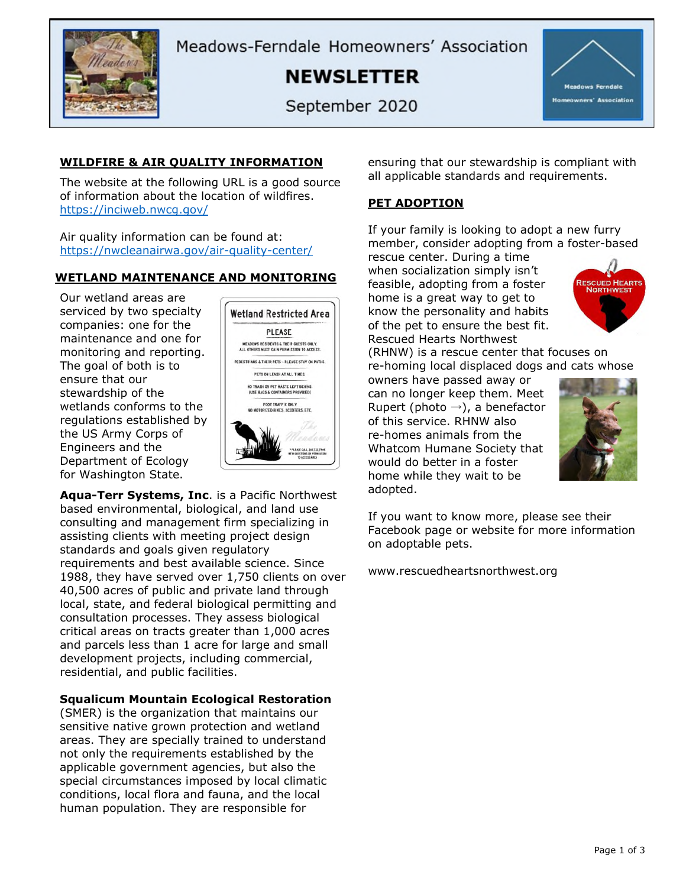

Meadows-Ferndale Homeowners' Association

**NEWSLETTER** 

September 2020



## **WILDFIRE & AIR QUALITY INFORMATION**

The website at the following URL is a good source of information about the location of wildfires. <https://inciweb.nwcg.gov/>

Air quality information can be found at: <https://nwcleanairwa.gov/air-quality-center/>

### **WETLAND MAINTENANCE AND MONITORING**

Our wetland areas are serviced by two specialty companies: one for the maintenance and one for monitoring and reporting. The goal of both is to ensure that our stewardship of the wetlands conforms to the regulations established by the US Army Corps of Engineers and the Department of Ecology for Washington State.



**Aqua-Terr Systems, Inc**. is a Pacific Northwest based environmental, biological, and land use consulting and management firm specializing in assisting clients with meeting project design standards and goals given regulatory requirements and best available science. Since 1988, they have served over 1,750 clients on over 40,500 acres of public and private land through local, state, and federal biological permitting and consultation processes. They assess biological critical areas on tracts greater than 1,000 acres and parcels less than 1 acre for large and small development projects, including commercial, residential, and public facilities.

### **Squalicum Mountain Ecological Restoration**

(SMER) is the organization that maintains our sensitive native grown protection and wetland areas. They are specially trained to understand not only the requirements established by the applicable government agencies, but also the special circumstances imposed by local climatic conditions, local flora and fauna, and the local human population. They are responsible for

ensuring that our stewardship is compliant with all applicable standards and requirements.

# **PET ADOPTION**

If your family is looking to adopt a new furry member, consider adopting from a foster-based

rescue center. During a time when socialization simply isn't feasible, adopting from a foster home is a great way to get to know the personality and habits of the pet to ensure the best fit. Rescued Hearts Northwest



(RHNW) is a rescue center that focuses on re-homing local displaced dogs and cats whose

owners have passed away or can no longer keep them. Meet Rupert (photo  $\rightarrow$ ), a benefactor of this service. RHNW also re-homes animals from the Whatcom Humane Society that would do better in a foster home while they wait to be adopted.



If you want to know more, please see their Facebook page or website for more information on adoptable pets.

www.rescuedheartsnorthwest.org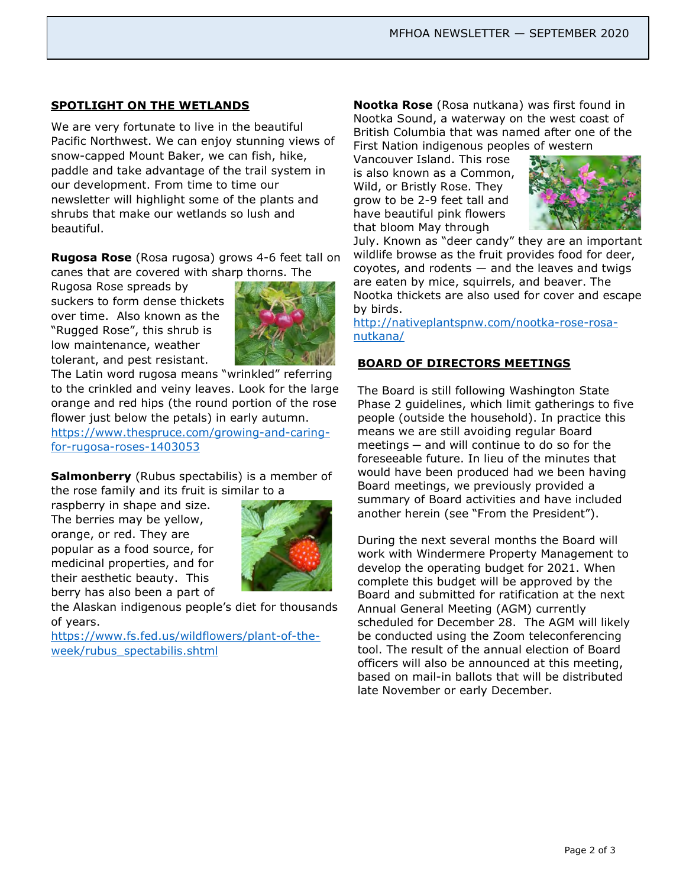## **SPOTLIGHT ON THE WETLANDS**

We are very fortunate to live in the beautiful Pacific Northwest. We can enjoy stunning views of snow-capped Mount Baker, we can fish, hike, paddle and take advantage of the trail system in our development. From time to time our newsletter will highlight some of the plants and shrubs that make our wetlands so lush and beautiful.

**Rugosa Rose** (Rosa rugosa) grows 4-6 feet tall on canes that are covered with sharp thorns. The

Rugosa Rose spreads by suckers to form dense thickets over time. Also known as the "Rugged Rose", this shrub is low maintenance, weather tolerant, and pest resistant.



The Latin word rugosa means "wrinkled" referring to the crinkled and veiny leaves. Look for the large orange and red hips (the round portion of the rose flower just below the petals) in early autumn.

[https://www.thespruce.com/growing-and-caring](https://www.thespruce.com/growing-and-caring-for-rugosa-roses-1403053)[for-rugosa-roses-1403053](https://www.thespruce.com/growing-and-caring-for-rugosa-roses-1403053)

**Salmonberry** (Rubus spectabilis) is a member of the rose family and its fruit is similar to a

raspberry in shape and size. The berries may be yellow, orange, or red. They are popular as a food source, for medicinal properties, and for their aesthetic beauty. This berry has also been a part of



the Alaskan indigenous people's diet for thousands of years.

[https://www.fs.fed.us/wildflowers/plant-of-the](https://www.fs.fed.us/wildflowers/plant-of-the-week/rubus_spectabilis.shtml)[week/rubus\\_spectabilis.shtml](https://www.fs.fed.us/wildflowers/plant-of-the-week/rubus_spectabilis.shtml)

**Nootka Rose** (Rosa nutkana) was first found in Nootka Sound, a waterway on the west coast of British Columbia that was named after one of the First Nation indigenous peoples of western

Vancouver Island. This rose is also known as a Common, Wild, or Bristly Rose. They grow to be 2-9 feet tall and have beautiful pink flowers that bloom May through



July. Known as "deer candy" they are an important wildlife browse as the fruit provides food for deer,  $covotes$ , and rodents  $-$  and the leaves and twigs are eaten by mice, squirrels, and beaver. The Nootka thickets are also used for cover and escape by birds.

[http://nativeplantspnw.com/nootka-rose-rosa](http://nativeplantspnw.com/nootka-rose-rosa-nutkana/)[nutkana/](http://nativeplantspnw.com/nootka-rose-rosa-nutkana/)

### **BOARD OF DIRECTORS MEETINGS**

The Board is still following Washington State Phase 2 guidelines, which limit gatherings to five people (outside the household). In practice this means we are still avoiding regular Board meetings — and will continue to do so for the foreseeable future. In lieu of the minutes that would have been produced had we been having Board meetings, we previously provided a summary of Board activities and have included another herein (see "From the President").

During the next several months the Board will work with Windermere Property Management to develop the operating budget for 2021. When complete this budget will be approved by the Board and submitted for ratification at the next Annual General Meeting (AGM) currently scheduled for December 28. The AGM will likely be conducted using the Zoom teleconferencing tool. The result of the annual election of Board officers will also be announced at this meeting, based on mail-in ballots that will be distributed late November or early December.